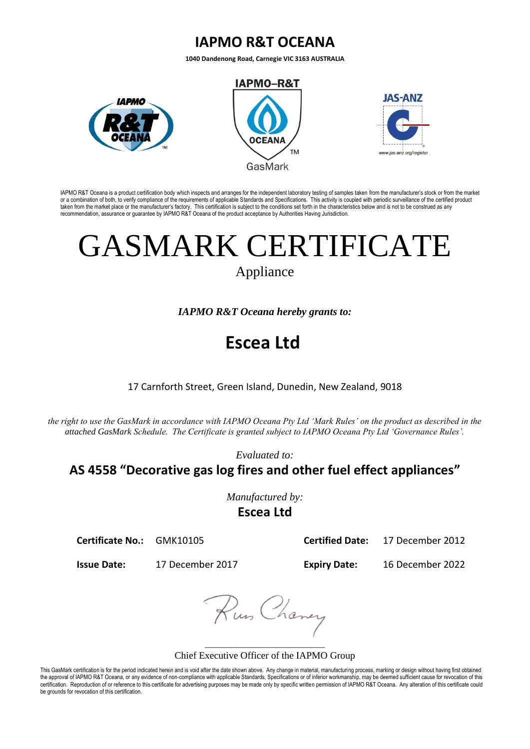## **IAPMO R&T OCEANA**

**1040 Dandenong Road, Carnegie VIC 3163 AUSTRALIA**



IAPMO R&T Oceana is a product certification body which inspects and arranges for the independent laboratory testing of samples taken from the manufacturer's stock or from the market<br>or a combination of both, to verify comp taken from the market place or the manufacturer's factory. This certification is subject to the conditions set forth in the characteristics below and is not to be construed as any recommendation, assurance or guarantee by IAPMO R&T Oceana of the product acceptance by Authorities Having Jurisdiction.

## GASMARK CERTIFICATE

Appliance

*IAPMO R&T Oceana hereby grants to:*

## **Escea Ltd**

17 Carnforth Street, Green Island, Dunedin, New Zealand, 9018

*the right to use the GasMark in accordance with IAPMO Oceana Pty Ltd 'Mark Rules' on the product as described in the attached GasMark Schedule. The Certificate is granted subject to IAPMO Oceana Pty Ltd 'Governance Rules'.* 

*Evaluated to:*

**AS 4558 "Decorative gas log fires and other fuel effect appliances"**

*Manufactured by:* **Escea Ltd**

**Certificate No.:** GMK10105 **Certified Date:** 17 December 2012

**Issue Date:** 17 December 2017 **Expiry Date:** 16 December 2022

Rus Chaney

\_\_\_\_\_\_\_\_\_\_\_\_\_\_\_\_\_\_\_\_\_\_\_\_\_\_\_ Chief Executive Officer of the IAPMO Group

This GasMark certification is for the period indicated herein and is void after the date shown above. Any change in material, manufacturing process, marking or design without having first obtained the approval of IAPMO R&T Oceana, or any evidence of non-compliance with applicable Standards, Specifications or of inferior workmanship, may be deemed sufficient cause for revocation of this certification. Reproduction of or reference to this certificate for advertising purposes may be made only by specific written permission of IAPMO R&T Oceana. Any alteration of this certificate could be grounds for revocation of this certification.